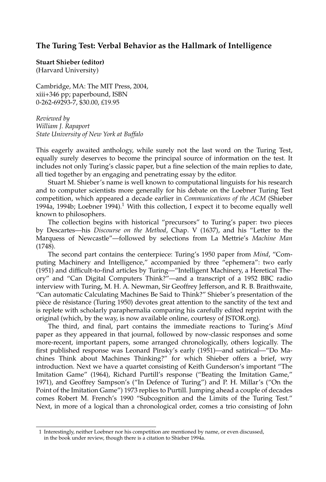## **The Turing Test: Verbal Behavior as the Hallmark of Intelligence**

**Stuart Shieber (editor)** (Harvard University)

Cambridge, MA: The MIT Press, 2004, xiii+346 pp; paperbound, ISBN 0-262-69293-7, \$30.00, £19.95

*Reviewed by William J. Rapaport State University of New York at Buffalo*

This eagerly awaited anthology, while surely not the last word on the Turing Test, equally surely deserves to become the principal source of information on the test. It includes not only Turing's classic paper, but a fine selection of the main replies to date, all tied together by an engaging and penetrating essay by the editor.

Stuart M. Shieber's name is well known to computational linguists for his research and to computer scientists more generally for his debate on the Loebner Turing Test competition, which appeared a decade earlier in *Communications of the ACM* (Shieber 1994a, 1994b; Loebner 1994).<sup>1</sup> With this collection, I expect it to become equally well known to philosophers.

The collection begins with historical "precursors" to Turing's paper: two pieces by Descartes—his *Discourse on the Method*, Chap. V (1637), and his "Letter to the Marquess of Newcastle"—followed by selections from La Mettrie's *Machine Man* (1748).

The second part contains the centerpiece: Turing's 1950 paper from *Mind*, "Computing Machinery and Intelligence," accompanied by three "ephemera": two early (1951) and difficult-to-find articles by Turing—"Intelligent Machinery, a Heretical Theory" and "Can Digital Computers Think?"—and a transcript of a 1952 BBC radio interview with Turing, M. H. A. Newman, Sir Geoffrey Jefferson, and R. B. Braithwaite, "Can automatic Calculating Machines Be Said to Think?" Shieber's presentation of the pièce de résistance (Turing 1950) devotes great attention to the sanctity of the text and is replete with scholarly paraphernalia comparing his carefully edited reprint with the original (which, by the way, is now available online, courtesy of JSTOR.org).

The third, and final, part contains the immediate reactions to Turing's *Mind* paper as they appeared in that journal, followed by now-classic responses and some more-recent, important papers, some arranged chronologically, others logically. The first published response was Leonard Pinsky's early (1951)—and satirical—"Do Machines Think about Machines Thinking?" for which Shieber offers a brief, wry introduction. Next we have a quartet consisting of Keith Gunderson's important "The Imitation Game" (1964), Richard Purtill's response ("Beating the Imitation Game," 1971), and Geoffrey Sampson's ("In Defence of Turing") and P. H. Millar's ("On the Point of the Imitation Game") 1973 replies to Purtill. Jumping ahead a couple of decades comes Robert M. French's 1990 "Subcognition and the Limits of the Turing Test." Next, in more of a logical than a chronological order, comes a trio consisting of John

<sup>1</sup> Interestingly, neither Loebner nor his competition are mentioned by name, or even discussed, in the book under review, though there is a citation to Shieber 1994a.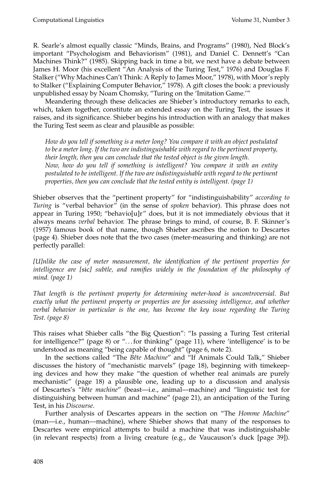R. Searle's almost equally classic "Minds, Brains, and Programs" (1980), Ned Block's important "Psychologism and Behaviorism" (1981), and Daniel C. Dennett's "Can Machines Think?" (1985). Skipping back in time a bit, we next have a debate between James H. Moor (his excellent "An Analysis of the Turing Test," 1976) and Douglas F. Stalker ("Why Machines Can't Think: A Reply to James Moor," 1978), with Moor's reply to Stalker ("Explaining Computer Behavior," 1978). A gift closes the book: a previously unpublished essay by Noam Chomsky, "Turing on the 'Imitation Game.'"

Meandering through these delicacies are Shieber's introductory remarks to each, which, taken together, constitute an extended essay on the Turing Test, the issues it raises, and its significance. Shieber begins his introduction with an analogy that makes the Turing Test seem as clear and plausible as possible:

*How do you tell if something is a meter long? You compare it with an object postulated to be a meter long. If the two are indistinguishable with regard to the pertinent property, their length, then you can conclude that the tested object is the given length. Now, how do you tell if something is intelligent? You compare it with an entity postulated to be intelligent. If the two are indistinguishable with regard to the pertinent properties, then you can conclude that the tested entity is intelligent. (page 1)*

Shieber observes that the "pertinent property" for "indistinguishability" *according to Turing* is "verbal behavior" (in the sense of *spoken* behavior). This phrase does not appear in Turing 1950; "behavio[u]r" does, but it is not immediately obvious that it always means *verbal* behavior. The phrase brings to mind, of course, B. F. Skinner's (1957) famous book of that name, though Shieber ascribes the notion to Descartes (page 4). Shieber does note that the two cases (meter-measuring and thinking) are not perfectly parallel:

*[U]nlike the case of meter measurement, the identification of the pertinent properties for intelligence are [*sic*] subtle, and ramifies widely in the foundation of the philosophy of mind. (page 1)*

*That length is the pertinent property for determining meter-hood is uncontroversial. But exactly what the pertinent property or properties are for assessing intelligence, and whether verbal behavior in particular is the one, has become the key issue regarding the Turing Test. (page 8)*

This raises what Shieber calls "the Big Question": "Is passing a Turing Test criterial for intelligence?" (page 8) or ". . . for thinking" (page 11), where 'intelligence' is to be understood as meaning "being capable of thought" (page 6, note 2).

In the sections called "The *Bˆete Machine*" and "If Animals Could Talk," Shieber discusses the history of "mechanistic marvels" (page 18), beginning with timekeeping devices and how they make "the question of whether real animals are purely mechanistic" (page 18) a plausible one, leading up to a discussion and analysis of Descartes's "*bˆete machine*" (beast—i.e., animal—machine) and "linguistic test for distinguishing between human and machine" (page 21), an anticipation of the Turing Test, in his *Discourse*.

Further analysis of Descartes appears in the section on "The *Homme Machine*" (man—i.e., human—machine), where Shieber shows that many of the responses to Descartes were empirical attempts to build a machine that was indistinguishable (in relevant respects) from a living creature (e.g., de Vaucauson's duck [page 39]).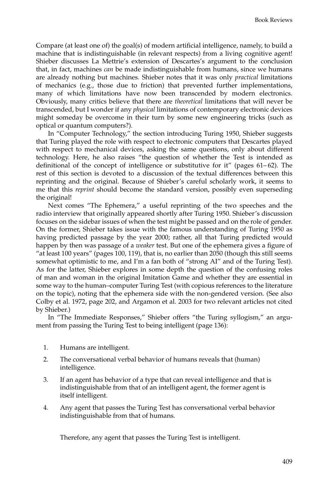Compare (at least one of) the goal(s) of modern artificial intelligence, namely, to build a machine that is indistinguishable (in relevant respects) from a living cognitive agent! Shieber discusses La Mettrie's extension of Descartes's argument to the conclusion that, in fact, machines *can* be made indistinguishable from humans, since we humans are already nothing but machines. Shieber notes that it was only *practical* limitations of mechanics (e.g., those due to friction) that prevented further implementations, many of which limitations have now been transcended by modern electronics. Obviously, many critics believe that there are *theoretical* limitations that will never be transcended, but I wonder if any *physical* limitations of contemporary electronic devices might someday be overcome in their turn by some new engineering tricks (such as optical or quantum computers?).

In "Computer Technology," the section introducing Turing 1950, Shieber suggests that Turing played the role with respect to electronic computers that Descartes played with respect to mechanical devices, asking the same questions, only about different technology. Here, he also raises "the question of whether the Test is intended as definitional of the concept of intelligence or substitutive for it" (pages  $61-62$ ). The rest of this section is devoted to a discussion of the textual differences between this reprinting and the original. Because of Shieber's careful scholarly work, it seems to me that this *reprint* should become the standard version, possibly even superseding the original!

Next comes "The Ephemera," a useful reprinting of the two speeches and the radio interview that originally appeared shortly after Turing 1950. Shieber's discussion focuses on the sidebar issues of when the test might be passed and on the role of gender. On the former, Shieber takes issue with the famous understanding of Turing 1950 as having predicted passage by the year 2000; rather, all that Turing predicted would happen by then was passage of a *weaker* test. But one of the ephemera gives a figure of "at least 100 years" (pages 100, 119), that is, no earlier than 2050 (though this still seems somewhat optimistic to me, and I'm a fan both of "strong AI" and of the Turing Test). As for the latter, Shieber explores in some depth the question of the confusing roles of man and woman in the original Imitation Game and whether they are essential in some way to the human–computer Turing Test (with copious references to the literature on the topic), noting that the ephemera side with the non-gendered version. (See also Colby et al. 1972, page 202, and Argamon et al. 2003 for two relevant articles not cited by Shieber.)

In "The Immediate Responses," Shieber offers "the Turing syllogism," an argument from passing the Turing Test to being intelligent (page 136):

- 1. Humans are intelligent.
- 2. The conversational verbal behavior of humans reveals that (human) intelligence.
- 3. If an agent has behavior of a type that can reveal intelligence and that is indistinguishable from that of an intelligent agent, the former agent is itself intelligent.
- 4. Any agent that passes the Turing Test has conversational verbal behavior indistinguishable from that of humans.

Therefore, any agent that passes the Turing Test is intelligent.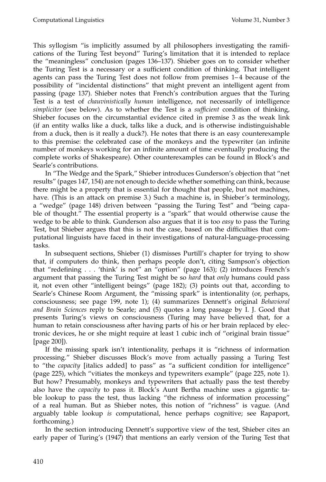This syllogism "is implicitly assumed by all philosophers investigating the ramifications of the Turing Test beyond" Turing's limitation that it is intended to replace the "meaningless" conclusion (pages 136–137). Shieber goes on to consider whether the Turing Test is a necessary or a sufficient condition of thinking. That intelligent agents can pass the Turing Test does not follow from premises 1– 4 because of the possibility of "incidental distinctions" that might prevent an intelligent agent from passing (page 137). Shieber notes that French's contribution argues that the Turing Test is a test of *chauvinistically human* intelligence, not necessarily of intelligence *simpliciter* (see below). As to whether the Test is a *sufficient* condition of thinking, Shieber focuses on the circumstantial evidence cited in premise 3 as the weak link (if an entity walks like a duck, talks like a duck, and is otherwise indistinguishable from a duck, then is it really a duck?). He notes that there is an easy counterexample to this premise: the celebrated case of the monkeys and the typewriter (an infinite number of monkeys working for an infinite amount of time eventually producing the complete works of Shakespeare). Other counterexamples can be found in Block's and Searle's contributions.

In "The Wedge and the Spark," Shieber introduces Gunderson's objection that "net results" (pages 147, 154) are not enough to decide whether something can think, because there might be a property that is essential for thought that people, but not machines, have. (This is an attack on premise 3.) Such a machine is, in Shieber's terminology, a "wedge" (page 148) driven between "passing the Turing Test" and "being capable of thought." The essential property is a "spark" that would otherwise cause the wedge to be able to think. Gunderson also argues that it is too *easy* to pass the Turing Test, but Shieber argues that this is not the case, based on the difficulties that computational linguists have faced in their investigations of natural-language-processing tasks.

In subsequent sections, Shieber (1) dismisses Purtill's chapter for trying to show that, if computers do think, then perhaps people don't, citing Sampson's objection that "redefining . . . 'think' is not" an "option" (page 163); (2) introduces French's argument that passing the Turing Test might be so *hard* that *only* humans could pass it, not even other "intelligent beings" (page 182); (3) points out that, according to Searle's Chinese Room Argument, the "missing spark" is intentionality (or, perhaps, consciousness; see page 199, note 1); (4) summarizes Dennett's original *Behavioral and Brain Sciences* reply to Searle; and (5) quotes a long passage by I. J. Good that presents Turing's views on consciousness (Turing may have believed that, for a human to retain consciousness after having parts of his or her brain replaced by electronic devices, he or she might require at least 1 cubic inch of "original brain tissue" [page 200]).

If the missing spark isn't intentionality, perhaps it is "richness of information processing." Shieber discusses Block's move from actually passing a Turing Test to "the *capacity* [italics added] to pass" as "a sufficient condition for intelligence" (page 225), which "vitiates the monkeys and typewriters example" (page 225, note 1). But how? Presumably, monkeys and typewriters that actually pass the test thereby also have the *capacity* to pass it. Block's Aunt Bertha machine uses a gigantic table lookup to pass the test, thus lacking "the richness of information processing" of a real human. But as Shieber notes, this notion of "richness" is vague. (And arguably table lookup *is* computational, hence perhaps cognitive; see Rapaport, forthcoming.)

In the section introducing Dennett's supportive view of the test, Shieber cites an early paper of Turing's (1947) that mentions an early version of the Turing Test that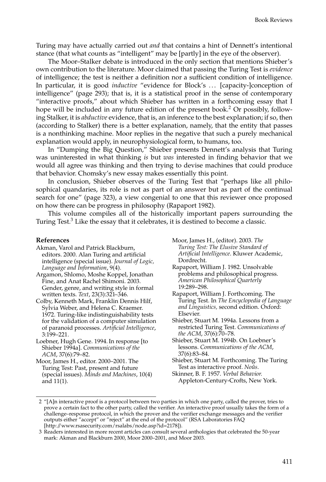Turing may have actually carried out *and* that contains a hint of Dennett's intentional stance (that what counts as "intelligent" may be [partly] in the eye of the observer).

The Moor–Stalker debate is introduced in the only section that mentions Shieber's own contribution to the literature. Moor claimed that passing the Turing Test is *evidence* of intelligence; the test is neither a definition nor a sufficient condition of intelligence. In particular, it is good *inductive* "evidence for Block's . . . [capacity-]conception of intelligence" (page 293); that is, it is a statistical proof in the sense of contemporary "interactive proofs," about which Shieber has written in a forthcoming essay that I hope will be included in any future edition of the present book.<sup>2</sup> Or possibly, following Stalker, it is *abductive* evidence, that is, an inference to the best explanation; if so, then (according to Stalker) there is a better explanation, namely, that the entity that passes is a nonthinking machine. Moor replies in the negative that such a purely mechanical explanation would apply, in neurophysiological form, to humans, too.

In "Dumping the Big Question," Shieber presents Dennett's analysis that Turing was uninterested in what thinking *is* but *was* interested in finding behavior that we would all agree was thinking and then trying to devise machines that could produce that behavior. Chomsky's new essay makes essentially this point.

In conclusion, Shieber observes of the Turing Test that "perhaps like all philosophical quandaries, its role is not as part of an answer but as part of the continual search for one" (page 323), a view congenial to one that this reviewer once proposed on how there can be progress in philosophy (Rapaport 1982).

This volume compiles all of the historically important papers surrounding the Turing Test.<sup>3</sup> Like the essay that it celebrates, it is destined to become a classic.

## **References**

- Akman, Varol and Patrick Blackburn, editors. 2000. Alan Turing and artificial intelligence (special issue). *Journal of Logic, Language and Information*, 9(4).
- Argamon, Shlomo, Moshe Koppel, Jonathan Fine, and Anat Rachel Shimoni. 2003. Gender, genre, and writing style in formal written texts. *Text*, 23(3):321–346.
- Colby, Kenneth Mark, Franklin Dennis Hilf, Sylvia Weber, and Helena C. Kraemer. 1972. Turing-like indistinguishability tests for the validation of a computer simulation of paranoid processes. *Artificial Intelligence*, 3:199–221.
- Loebner, Hugh Gene. 1994. In response [to Shieber 1994a]. *Communications of the ACM*, 37(6):79–82.
- Moor, James H., editor. 2000–2001. The Turing Test: Past, present and future (special issues). *Minds and Machines*, 10(4) and 11(1).
- Moor, James H., (editor). 2003. *The Turing Test: The Elusive Standard of Artificial Intelligence*. Kluwer Academic, Dordrecht.
- Rapaport, William J. 1982. Unsolvable problems and philosophical progress. *American Philosophical Quarterly* 19:289–298.
- Rapaport, William J. Forthcoming. The Turing Test. In *The Encyclopedia of Language and Linguistics,* second edition. Oxford: Elsevier.
- Shieber, Stuart M. 1994a. Lessons from a restricted Turing Test. *Communications of the ACM*, 37(6):70–78.
- Shieber, Stuart M. 1994b. On Loebner's lessons. *Communications of the ACM*, 37(6):83–84.
- Shieber, Stuart M. Forthcoming. The Turing Test as interactive proof. *Noˆus*.
- Skinner, B. F. 1957. *Verbal Behavior.* Appleton-Century-Crofts, New York.

<sup>2 &</sup>quot;[A]n interactive proof is a protocol between two parties in which one party, called the prover, tries to prove a certain fact to the other party, called the verifier. An interactive proof usually takes the form of a challenge–response protocol, in which the prover and the verifier exchange messages and the verifier outputs either "accept" or "reject" at the end of the protocol" (RSA Laboratories FAQ [http://www.rsasecurity.com/rsalabs/node.asp?id=2178]).

<sup>3</sup> Readers interested in more recent articles can consult several anthologies that celebrated the 50-year mark: Akman and Blackburn 2000, Moor 2000–2001, and Moor 2003.